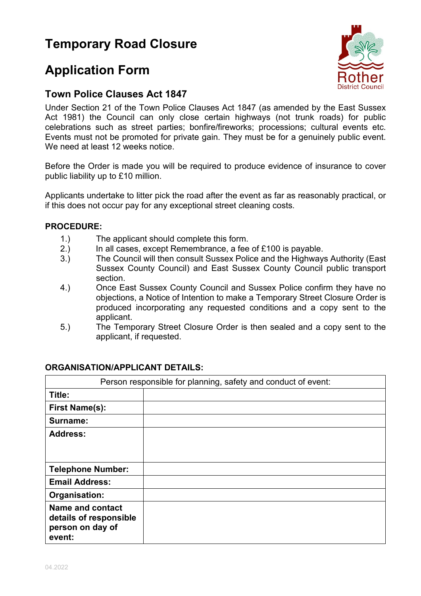# **Temporary Road Closure**

# **Application Form**

### **Town Police Clauses Act 1847**

Under Section 21 of the Town Police Clauses Act 1847 (as amended by the East Sussex Act 1981) the Council can only close certain highways (not trunk roads) for public celebrations such as street parties; bonfire/fireworks; processions; cultural events etc. Events must not be promoted for private gain. They must be for a genuinely public event. We need at least 12 weeks notice.

Before the Order is made you will be required to produce evidence of insurance to cover public liability up to £10 million.

Applicants undertake to litter pick the road after the event as far as reasonably practical, or if this does not occur pay for any exceptional street cleaning costs.

#### **PROCEDURE:**

- 1.) The applicant should complete this form.
- 2.) In all cases, except Remembrance, a fee of £100 is payable.
- 3.) The Council will then consult Sussex Police and the Highways Authority (East Sussex County Council) and East Sussex County Council public transport section.
- 4.) Once East Sussex County Council and Sussex Police confirm they have no objections, a Notice of Intention to make a Temporary Street Closure Order is produced incorporating any requested conditions and a copy sent to the applicant.
- 5.) The Temporary Street Closure Order is then sealed and a copy sent to the applicant, if requested.

| Person responsible for planning, safety and conduct of event: |  |
|---------------------------------------------------------------|--|
| Title:                                                        |  |
| <b>First Name(s):</b>                                         |  |
| Surname:                                                      |  |
| <b>Address:</b>                                               |  |
|                                                               |  |
|                                                               |  |
| <b>Telephone Number:</b>                                      |  |
| <b>Email Address:</b>                                         |  |
| Organisation:                                                 |  |
| <b>Name and contact</b>                                       |  |
| details of responsible<br>person on day of                    |  |
| event:                                                        |  |

#### **ORGANISATION/APPLICANT DETAILS:**

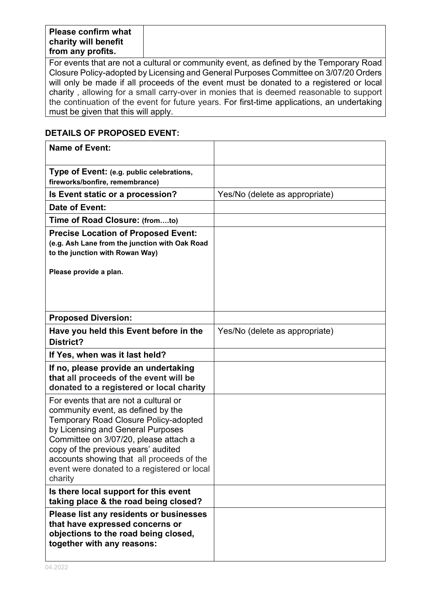| <b>Please confirm what</b> |  |  |
|----------------------------|--|--|
| charity will benefit       |  |  |
| from any profits.          |  |  |

For events that are not a cultural or community event, as defined by the Temporary Road Closure Policy-adopted by Licensing and General Purposes Committee on 3/07/20 Orders will only be made if all proceeds of the event must be donated to a registered or local charity , allowing for a small carry-over in monies that is deemed reasonable to support the continuation of the event for future years. For first-time applications, an undertaking must be given that this will apply.

### **DETAILS OF PROPOSED EVENT:**

| <b>Name of Event:</b>                                                                                                                                                                                                                                                                                                                                   |                                |
|---------------------------------------------------------------------------------------------------------------------------------------------------------------------------------------------------------------------------------------------------------------------------------------------------------------------------------------------------------|--------------------------------|
| Type of Event: (e.g. public celebrations,<br>fireworks/bonfire, remembrance)                                                                                                                                                                                                                                                                            |                                |
| Is Event static or a procession?                                                                                                                                                                                                                                                                                                                        | Yes/No (delete as appropriate) |
| Date of Event:                                                                                                                                                                                                                                                                                                                                          |                                |
| Time of Road Closure: (fromto)                                                                                                                                                                                                                                                                                                                          |                                |
| <b>Precise Location of Proposed Event:</b><br>(e.g. Ash Lane from the junction with Oak Road<br>to the junction with Rowan Way)                                                                                                                                                                                                                         |                                |
| Please provide a plan.                                                                                                                                                                                                                                                                                                                                  |                                |
| <b>Proposed Diversion:</b>                                                                                                                                                                                                                                                                                                                              |                                |
| Have you held this Event before in the<br>District?                                                                                                                                                                                                                                                                                                     | Yes/No (delete as appropriate) |
| If Yes, when was it last held?                                                                                                                                                                                                                                                                                                                          |                                |
| If no, please provide an undertaking<br>that all proceeds of the event will be<br>donated to a registered or local charity                                                                                                                                                                                                                              |                                |
| For events that are not a cultural or<br>community event, as defined by the<br><b>Temporary Road Closure Policy-adopted</b><br>by Licensing and General Purposes<br>Committee on 3/07/20, please attach a<br>copy of the previous years' audited<br>accounts showing that all proceeds of the<br>event were donated to a registered or local<br>charity |                                |
| Is there local support for this event<br>taking place & the road being closed?                                                                                                                                                                                                                                                                          |                                |
| Please list any residents or businesses<br>that have expressed concerns or<br>objections to the road being closed,<br>together with any reasons:                                                                                                                                                                                                        |                                |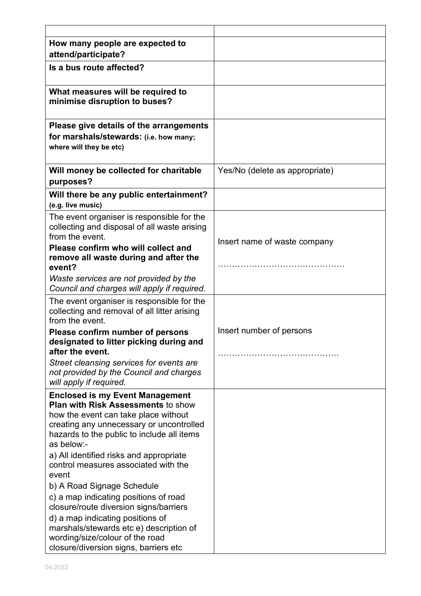| How many people are expected to                                                                                                                                                                                                     |                                |
|-------------------------------------------------------------------------------------------------------------------------------------------------------------------------------------------------------------------------------------|--------------------------------|
| attend/participate?                                                                                                                                                                                                                 |                                |
| Is a bus route affected?                                                                                                                                                                                                            |                                |
| What measures will be required to<br>minimise disruption to buses?                                                                                                                                                                  |                                |
| Please give details of the arrangements<br>for marshals/stewards: (i.e. how many;<br>where will they be etc)                                                                                                                        |                                |
| Will money be collected for charitable<br>purposes?                                                                                                                                                                                 | Yes/No (delete as appropriate) |
| Will there be any public entertainment?<br>(e.g. live music)                                                                                                                                                                        |                                |
| The event organiser is responsible for the<br>collecting and disposal of all waste arising<br>from the event.<br>Please confirm who will collect and                                                                                | Insert name of waste company   |
| remove all waste during and after the<br>event?                                                                                                                                                                                     |                                |
| Waste services are not provided by the<br>Council and charges will apply if required.                                                                                                                                               |                                |
| The event organiser is responsible for the<br>collecting and removal of all litter arising<br>from the event.                                                                                                                       |                                |
| Please confirm number of persons<br>designated to litter picking during and<br>after the event.                                                                                                                                     | Insert number of persons       |
| Street cleansing services for events are<br>not provided by the Council and charges<br>will apply if required.                                                                                                                      |                                |
| <b>Enclosed is my Event Management</b><br><b>Plan with Risk Assessments to show</b><br>how the event can take place without<br>creating any unnecessary or uncontrolled<br>hazards to the public to include all items<br>as below:- |                                |
| a) All identified risks and appropriate<br>control measures associated with the<br>event                                                                                                                                            |                                |
| b) A Road Signage Schedule                                                                                                                                                                                                          |                                |
| c) a map indicating positions of road<br>closure/route diversion signs/barriers                                                                                                                                                     |                                |
| d) a map indicating positions of<br>marshals/stewards etc e) description of<br>wording/size/colour of the road<br>closure/diversion signs, barriers etc                                                                             |                                |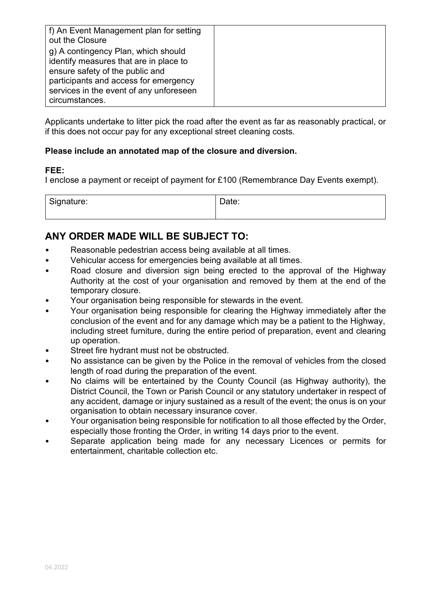| f) An Event Management plan for setting<br>out the Closure                                                                                                                                                             |  |
|------------------------------------------------------------------------------------------------------------------------------------------------------------------------------------------------------------------------|--|
| g) A contingency Plan, which should<br>identify measures that are in place to<br>ensure safety of the public and<br>participants and access for emergency<br>services in the event of any unforeseen<br>circumstances. |  |

Applicants undertake to litter pick the road after the event as far as reasonably practical, or if this does not occur pay for any exceptional street cleaning costs.

#### **Please include an annotated map of the closure and diversion.**

#### **FEE:**

I enclose a payment or receipt of payment for £100 (Remembrance Day Events exempt).

| ากature:<br>-<br>- ت<br>. |  |
|---------------------------|--|
|                           |  |

## **ANY ORDER MADE WILL BE SUBJECT TO:**

- Reasonable pedestrian access being available at all times.
- Vehicular access for emergencies being available at all times.
- Road closure and diversion sign being erected to the approval of the Highway Authority at the cost of your organisation and removed by them at the end of the temporary closure.
- Your organisation being responsible for stewards in the event.
- Your organisation being responsible for clearing the Highway immediately after the conclusion of the event and for any damage which may be a patient to the Highway, including street furniture, during the entire period of preparation, event and clearing up operation.
- Street fire hydrant must not be obstructed.
- No assistance can be given by the Police in the removal of vehicles from the closed length of road during the preparation of the event.
- No claims will be entertained by the County Council (as Highway authority), the District Council, the Town or Parish Council or any statutory undertaker in respect of any accident, damage or injury sustained as a result of the event; the onus is on your organisation to obtain necessary insurance cover.
- Your organisation being responsible for notification to all those effected by the Order, especially those fronting the Order, in writing 14 days prior to the event.
- Separate application being made for any necessary Licences or permits for entertainment, charitable collection etc.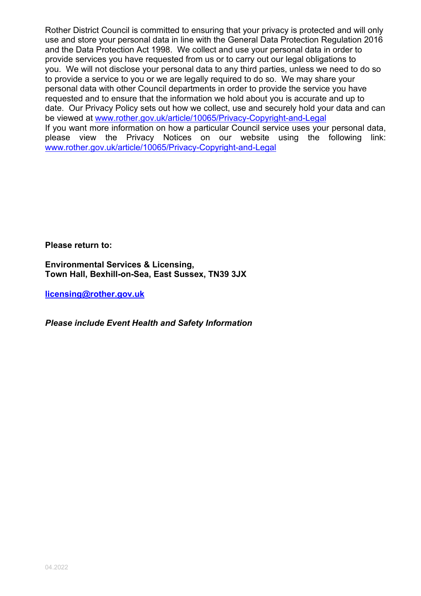Rother District Council is committed to ensuring that your privacy is protected and will only use and store your personal data in line with the General Data Protection Regulation 2016 and the Data Protection Act 1998. We collect and use your personal data in order to provide services you have requested from us or to carry out our legal obligations to you. We will not disclose your personal data to any third parties, unless we need to do so to provide a service to you or we are legally required to do so. We may share your personal data with other Council departments in order to provide the service you have requested and to ensure that the information we hold about you is accurate and up to date. Our Privacy Policy sets out how we collect, use and securely hold your data and can be viewed at [www.rother.gov.uk/article/10065/Privacy-Copyright-and-Legal](http://www.rother.gov.uk/article/10065/Privacy-Copyright-and-Legal) If you want more information on how a particular Council service uses your personal data, please view the Privacy Notices on our website using the following link: [www.rother.gov.uk/article/10065/Privacy-Copyright-and-Legal](http://www.rother.gov.uk/article/10065/Privacy-Copyright-and-Legal)

**Please return to:** 

**Environmental Services & Licensing, Town Hall, Bexhill-on-Sea, East Sussex, TN39 3JX** 

**[licensing@rother.gov.uk](mailto:licensing@rother.gov.uk)**

*Please include Event Health and Safety Information*